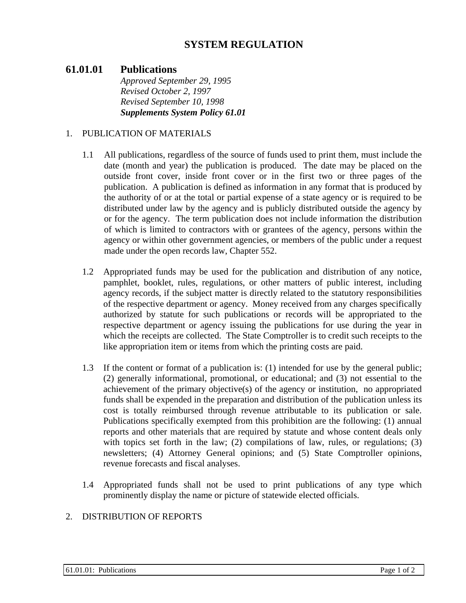# **SYSTEM REGULATION**

## **61.01.01 Publications**

*Approved September 29, 1995 Revised October 2, 1997 Revised September 10, 1998 Supplements System Policy 61.01* 

#### 1. PUBLICATION OF MATERIALS

- 1.1 All publications, regardless of the source of funds used to print them, must include the date (month and year) the publication is produced. The date may be placed on the outside front cover, inside front cover or in the first two or three pages of the publication. A publication is defined as information in any format that is produced by the authority of or at the total or partial expense of a state agency or is required to be distributed under law by the agency and is publicly distributed outside the agency by or for the agency. The term publication does not include information the distribution of which is limited to contractors with or grantees of the agency, persons within the agency or within other government agencies, or members of the public under a request made under the open records law, Chapter 552.
- 1.2 Appropriated funds may be used for the publication and distribution of any notice, pamphlet, booklet, rules, regulations, or other matters of public interest, including agency records, if the subject matter is directly related to the statutory responsibilities of the respective department or agency. Money received from any charges specifically authorized by statute for such publications or records will be appropriated to the respective department or agency issuing the publications for use during the year in which the receipts are collected. The State Comptroller is to credit such receipts to the like appropriation item or items from which the printing costs are paid.
- 1.3 If the content or format of a publication is: (1) intended for use by the general public; (2) generally informational, promotional, or educational; and (3) not essential to the achievement of the primary objective(s) of the agency or institution, no appropriated funds shall be expended in the preparation and distribution of the publication unless its cost is totally reimbursed through revenue attributable to its publication or sale. Publications specifically exempted from this prohibition are the following: (1) annual reports and other materials that are required by statute and whose content deals only with topics set forth in the law; (2) compilations of law, rules, or regulations; (3) newsletters; (4) Attorney General opinions; and (5) State Comptroller opinions, revenue forecasts and fiscal analyses.
- 1.4 Appropriated funds shall not be used to print publications of any type which prominently display the name or picture of statewide elected officials.

#### 2. DISTRIBUTION OF REPORTS